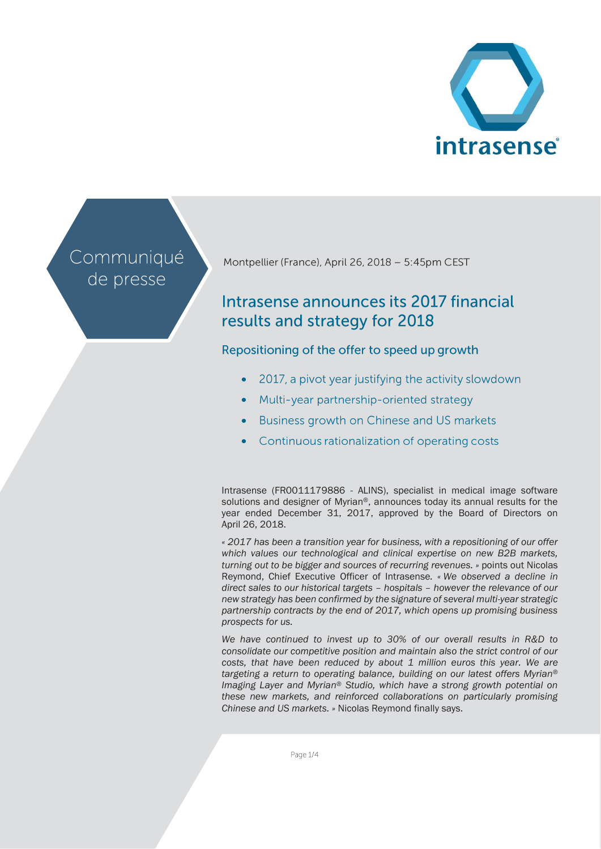

# Communiqué de presse

Montpellier (France), April 26, 2018 - 5:45pm CEST

# Intrasense announces its 2017 financial results and strategy for 2018

# Repositioning of the offer to speed up growth

- 2017, a pivot year justifying the activity slowdown
- Multi-year partnership-oriented strategy
- Business growth on Chinese and US markets •
- Continuous rationalization of operating costs •

Intrasense (FR0011179886 - ALINS), specialist in medical image software solutions and designer of Myrian®, announces today its annual results for the year ended December 31, 2017, approved by the Board of Directors on April 26, 2018.

*« 2017 has been a transition year for business, with a repositioning of our offer which values our technological and clinical expertise on new B2B markets, turning out to be bigger and sources of recurring revenues. »* points out Nicolas Reymond, Chief Executive Officer of Intrasense*. « We observed a decline in direct sales to our historical targets – hospitals – however the relevance of our new strategy has been confirmed by the signature of several multi-year strategic partnership contracts by the end of 2017, which opens up promising business prospects for us.*

*We have continued to invest up to 30% of our overall results in R&D to consolidate our competitive position and maintain also the strict control of our costs, that have been reduced by about 1 million euros this year. We are targeting a return to operating balance, building on our latest offers Myrian® Imaging Layer and Myrian® Studio, which have a strong growth potential on these new markets, and reinforced collaborations on particularly promising Chinese and US markets. »* Nicolas Reymond finally says.

Page 1/4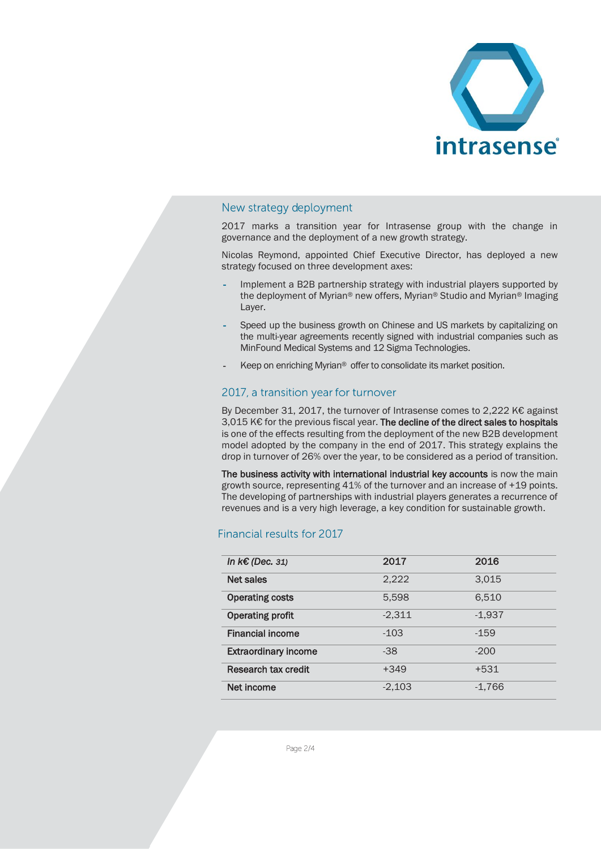

#### New strategy deployment

2017 marks a transition year for Intrasense group with the change in governance and the deployment of a new growth strategy.

Nicolas Reymond, appointed Chief Executive Director, has deployed a new strategy focused on three development axes:

- Implement a B2B partnership strategy with industrial players supported by the deployment of Myrian® new offers, Myrian® Studio and Myrian® Imaging Layer.
- Speed up the business growth on Chinese and US markets by capitalizing on the multi-year agreements recently signed with industrial companies such as MinFound Medical Systems and 12 Sigma Technologies.
- Keep on enriching Myrian® offer to consolidate its market position.

#### 2017, a transition year for turnover

By December 31, 2017, the turnover of Intrasense comes to 2,222 K€ against 3,015 K€ for the previous fiscal year. The decline of the direct sales to hospitals is one of the effects resulting from the deployment of the new B2B development model adopted by the company in the end of 2017. This strategy explains the drop in turnover of 26% over the year, to be considered as a period of transition.

The business activity with international industrial key accounts is now the main growth source, representing 41% of the turnover and an increase of +19 points. The developing of partnerships with industrial players generates a recurrence of revenues and is a very high leverage, a key condition for sustainable growth.

### Financial results for 2017

| In $k \in (Dec. 31)$        | 2017     | 2016     |
|-----------------------------|----------|----------|
| <b>Net sales</b>            | 2,222    | 3,015    |
| <b>Operating costs</b>      | 5,598    | 6,510    |
| <b>Operating profit</b>     | $-2,311$ | $-1,937$ |
| <b>Financial income</b>     | $-103$   | $-159$   |
| <b>Extraordinary income</b> | $-38$    | $-200$   |
| Research tax credit         | $+349$   | $+531$   |
| Net income                  | $-2,103$ | $-1,766$ |

Page 2/4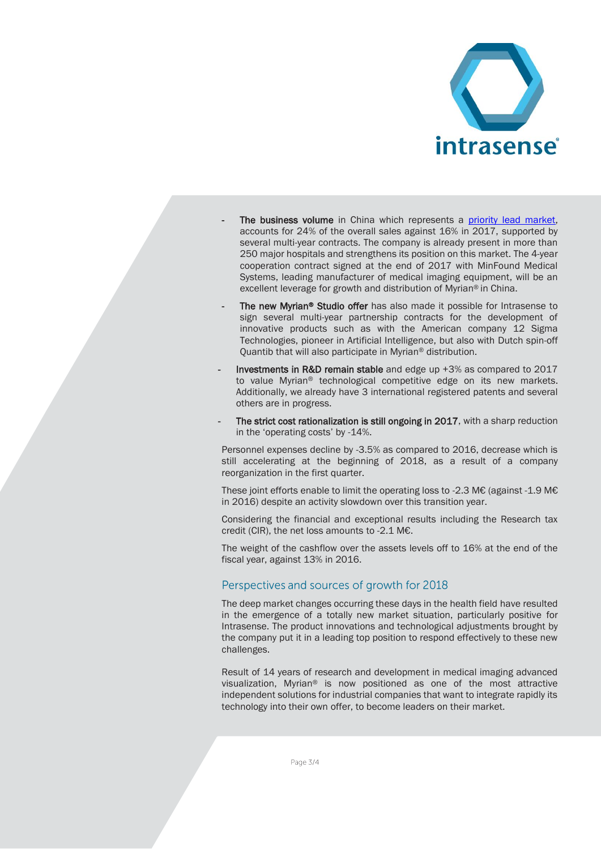

- The business volume in China which represents a priority lead market, accounts for 24% of the overall sales against 16% in 2017, supported by several multi-year contracts. The company is already present in more than 250 major hospitals and strengthens its position on this market. The 4-year cooperation contract signed at the end of 2017 with MinFound Medical Systems, leading manufacturer of medical imaging equipment, will be an excellent leverage for growth and distribution of Myrian® in China.
- The new Myrian<sup>®</sup> Studio offer has also made it possible for Intrasense to sign several multi-year partnership contracts for the development of innovative products such as with the American company 12 Sigma Technologies, pioneer in Artificial Intelligence, but also with Dutch spin-off Quantib that will also participate in Myrian® distribution.
- Investments in R&D remain stable and edge up +3% as compared to 2017 to value Myrian® technological competitive edge on its new markets. Additionally, we already have 3 international registered patents and several others are in progress.
- The strict cost rationalization is still ongoing in 2017, with a sharp reduction in the 'operating costs' by -14%.

Personnel expenses decline by -3.5% as compared to 2016, decrease which is still accelerating at the beginning of 2018, as a result of a company reorganization in the first quarter.

These joint efforts enable to limit the operating loss to -2.3 M€ (against -1.9 M€ in 2016) despite an activity slowdown over this transition year.

Considering the financial and exceptional results including the Research tax credit (CIR), the net loss amounts to -2.1 M€.

The weight of the cashflow over the assets levels off to 16% at the end of the fiscal year, against 13% in 2016.

#### Perspectives and sources of growth for 2018

The deep market changes occurring these days in the health field have resulted in the emergence of a totally new market situation, particularly positive for Intrasense. The product innovations and technological adjustments brought by the company put it in a leading top position to respond effectively to these new challenges.

Result of 14 years of research and development in medical imaging advanced visualization, Myrian® is now positioned as one of the most attractive independent solutions for industrial companies that want to integrate rapidly its technology into their own offer, to become leaders on their market.